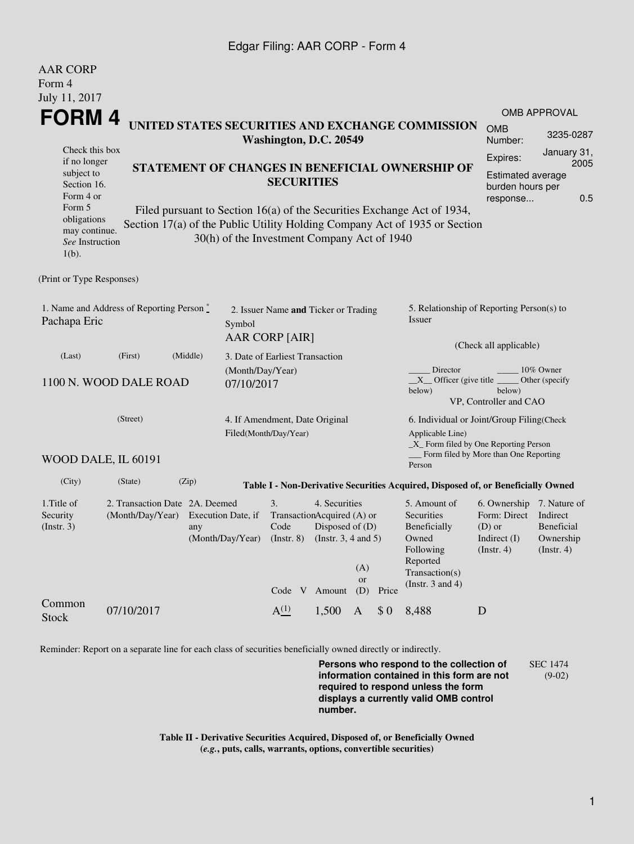## Edgar Filing: AAR CORP - Form 4

| <b>AAR CORP</b>                                                                      |                                                                                                   |                                             |  |                                 |  |                                                                                                            |                         |                                                                                                                                           |                                                                                                                                                       |                                                                                       |                                                         |  |
|--------------------------------------------------------------------------------------|---------------------------------------------------------------------------------------------------|---------------------------------------------|--|---------------------------------|--|------------------------------------------------------------------------------------------------------------|-------------------------|-------------------------------------------------------------------------------------------------------------------------------------------|-------------------------------------------------------------------------------------------------------------------------------------------------------|---------------------------------------------------------------------------------------|---------------------------------------------------------|--|
| Form 4<br>July 11, 2017                                                              |                                                                                                   |                                             |  |                                 |  |                                                                                                            |                         |                                                                                                                                           |                                                                                                                                                       |                                                                                       |                                                         |  |
|                                                                                      |                                                                                                   |                                             |  |                                 |  |                                                                                                            |                         |                                                                                                                                           |                                                                                                                                                       |                                                                                       | <b>OMB APPROVAL</b>                                     |  |
| FORM 4<br>UNITED STATES SECURITIES AND EXCHANGE COMMISSION<br>Washington, D.C. 20549 |                                                                                                   |                                             |  |                                 |  |                                                                                                            |                         |                                                                                                                                           | <b>OMB</b><br>Number:                                                                                                                                 | 3235-0287                                                                             |                                                         |  |
| Check this box<br>if no longer                                                       |                                                                                                   |                                             |  |                                 |  |                                                                                                            |                         |                                                                                                                                           |                                                                                                                                                       | Expires:                                                                              | January 31,<br>2005                                     |  |
|                                                                                      | STATEMENT OF CHANGES IN BENEFICIAL OWNERSHIP OF<br>subject to<br><b>SECURITIES</b><br>Section 16. |                                             |  |                                 |  |                                                                                                            |                         |                                                                                                                                           |                                                                                                                                                       | <b>Estimated average</b><br>burden hours per                                          |                                                         |  |
| Form 4 or<br>Form 5                                                                  |                                                                                                   |                                             |  |                                 |  |                                                                                                            |                         |                                                                                                                                           |                                                                                                                                                       | response                                                                              | 0.5                                                     |  |
| obligations<br>may continue.<br>See Instruction<br>$1(b)$ .                          |                                                                                                   | 30(h) of the Investment Company Act of 1940 |  |                                 |  |                                                                                                            |                         |                                                                                                                                           | Filed pursuant to Section 16(a) of the Securities Exchange Act of 1934,<br>Section 17(a) of the Public Utility Holding Company Act of 1935 or Section |                                                                                       |                                                         |  |
| (Print or Type Responses)                                                            |                                                                                                   |                                             |  |                                 |  |                                                                                                            |                         |                                                                                                                                           |                                                                                                                                                       |                                                                                       |                                                         |  |
| 1. Name and Address of Reporting Person *<br>Pachapa Eric<br>Symbol                  |                                                                                                   |                                             |  | AAR CORP [AIR]                  |  | 2. Issuer Name and Ticker or Trading                                                                       |                         |                                                                                                                                           | 5. Relationship of Reporting Person(s) to<br>Issuer                                                                                                   |                                                                                       |                                                         |  |
| (Middle)<br>(Last)<br>(First)                                                        |                                                                                                   |                                             |  | 3. Date of Earliest Transaction |  |                                                                                                            |                         |                                                                                                                                           | (Check all applicable)                                                                                                                                |                                                                                       |                                                         |  |
| 1100 N. WOOD DALE ROAD                                                               |                                                                                                   | (Month/Day/Year)<br>07/10/2017              |  |                                 |  |                                                                                                            |                         | Director<br>10% Owner<br>$X$ Officer (give title $\overline{\phantom{a}}$<br>Other (specify<br>below)<br>below)<br>VP, Controller and CAO |                                                                                                                                                       |                                                                                       |                                                         |  |
| (Street)<br>4. If Amendment, Date Original<br>Filed(Month/Day/Year)                  |                                                                                                   |                                             |  |                                 |  |                                                                                                            |                         |                                                                                                                                           | 6. Individual or Joint/Group Filing(Check<br>Applicable Line)<br>$\_X$ Form filed by One Reporting Person                                             |                                                                                       |                                                         |  |
|                                                                                      | WOOD DALE, IL 60191                                                                               |                                             |  |                                 |  |                                                                                                            |                         |                                                                                                                                           | Person                                                                                                                                                | Form filed by More than One Reporting                                                 |                                                         |  |
| (City)                                                                               | (State)                                                                                           | (Zip)                                       |  |                                 |  |                                                                                                            |                         |                                                                                                                                           | Table I - Non-Derivative Securities Acquired, Disposed of, or Beneficially Owned                                                                      |                                                                                       |                                                         |  |
| 1. Title of<br>Security<br>$($ Instr. 3 $)$                                          | 2. Transaction Date 2A. Deemed<br>(Month/Day/Year) Execution Date, if                             | any<br>(Month/Day/Year)                     |  | 3.<br>Code<br>Code V            |  | 4. Securities<br>TransactionAcquired (A) or<br>Disposed of (D)<br>(Instr. 8) (Instr. 3, 4 and 5)<br>Amount | (A)<br><b>or</b><br>(D) | Price                                                                                                                                     | 5. Amount of<br>Securities<br>Beneficially<br>Owned<br>Following<br>Reported<br>Transaction(s)<br>(Instr. $3$ and $4$ )                               | 6. Ownership 7. Nature of<br>Form: Direct<br>$(D)$ or<br>Indirect $(I)$<br>(Instr. 4) | Indirect<br>Beneficial<br>Ownership<br>$($ Instr. 4 $)$ |  |
| Common<br><b>Stock</b>                                                               | 07/10/2017                                                                                        |                                             |  | A <sup>(1)</sup>                |  | 1,500                                                                                                      | $\mathbf{A}$            | \$0                                                                                                                                       | 8,488                                                                                                                                                 | D                                                                                     |                                                         |  |

Reminder: Report on a separate line for each class of securities beneficially owned directly or indirectly.

**Persons who respond to the collection of information contained in this form are not required to respond unless the form displays a currently valid OMB control number.** SEC 1474 (9-02)

**Table II - Derivative Securities Acquired, Disposed of, or Beneficially Owned (***e.g.***, puts, calls, warrants, options, convertible securities)**